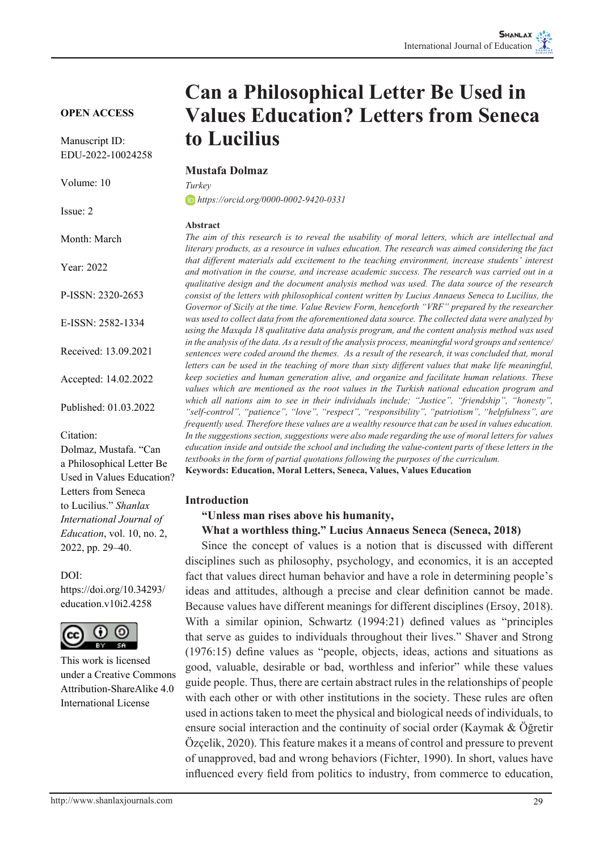**OPEN ACCESS**

Manuscript ID: EDU-2022-10024258

Volume: 10

Issue: 2

Month: March

Year: 2022

P-ISSN: 2320-2653

E-ISSN: 2582-1334

Received: 13.09.2021

Accepted: 14.02.2022

Published: 01.03.2022

Citation:

Dolmaz, Mustafa. "Can a Philosophical Letter Be Used in Values Education? Letters from Seneca to Lucilius." *Shanlax International Journal of Education*, vol. 10, no. 2, 2022, pp. 29–40.

 $DOI<sup>+</sup>$ 

https://doi.org/10.34293/ education.v10i2.4258



This work is licensed under a Creative Commons Attribution-ShareAlike 4.0 International License

# **Can a Philosophical Letter Be Used in Values Education? Letters from Seneca to Lucilius**

#### **Mustafa Dolmaz**

*Turkey https://orcid.org/0000-0002-9420-0331*

#### **Abstract**

*The aim of this research is to reveal the usability of moral letters, which are intellectual and literary products, as a resource in values education. The research was aimed considering the fact that different materials add excitement to the teaching environment, increase students' interest and motivation in the course, and increase academic success. The research was carried out in a qualitative design and the document analysis method was used. The data source of the research consist of the letters with philosophical content written by Lucius Annaeus Seneca to Lucilius, the Governor of Sicily at the time. Value Review Form, henceforth "VRF" prepared by the researcher was used to collect data from the aforementioned data source. The collected data were analyzed by using the Maxqda 18 qualitative data analysis program, and the content analysis method was used in the analysis of the data. As a result of the analysis process, meaningful word groups and sentence/ sentences were coded around the themes. As a result of the research, it was concluded that, moral letters can be used in the teaching of more than sixty different values that make life meaningful, keep societies and human generation alive, and organize and facilitate human relations. These values which are mentioned as the root values in the Turkish national education program and which all nations aim to see in their individuals include; "Justice", "friendship", "honesty", "self-control", "patience", "love", "respect", "responsibility", "patriotism", "helpfulness", are frequently used. Therefore these values are a wealthy resource that can be used in values education. In the suggestions section, suggestions were also made regarding the use of moral letters for values education inside and outside the school and including the value-content parts of these letters in the textbooks in the form of partial quotations following the purposes of the curriculum.* **Keywords: Education, Moral Letters, Seneca, Values, Values Education** 

#### **Introduction**

**"Unless man rises above his humanity,**

#### **What a worthless thing." Lucius Annaeus Seneca (Seneca, 2018)**

Since the concept of values is a notion that is discussed with different disciplines such as philosophy, psychology, and economics, it is an accepted fact that values direct human behavior and have a role in determining people's ideas and attitudes, although a precise and clear definition cannot be made. Because values have different meanings for different disciplines (Ersoy, 2018). With a similar opinion, Schwartz (1994:21) defined values as "principles that serve as guides to individuals throughout their lives." Shaver and Strong (1976:15) define values as "people, objects, ideas, actions and situations as good, valuable, desirable or bad, worthless and inferior" while these values guide people. Thus, there are certain abstract rules in the relationships of people with each other or with other institutions in the society. These rules are often used in actions taken to meet the physical and biological needs of individuals, to ensure social interaction and the continuity of social order (Kaymak & Öğretir Özçelik, 2020). This feature makes it a means of control and pressure to prevent of unapproved, bad and wrong behaviors (Fichter, 1990). In short, values have influenced every field from politics to industry, from commerce to education,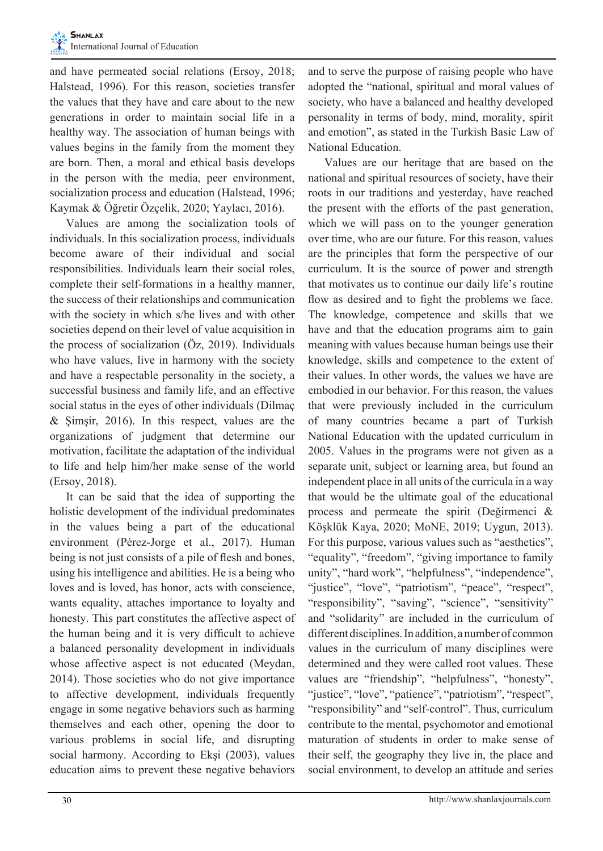and have permeated social relations (Ersoy, 2018; Halstead, 1996). For this reason, societies transfer the values that they have and care about to the new generations in order to maintain social life in a healthy way. The association of human beings with values begins in the family from the moment they are born. Then, a moral and ethical basis develops in the person with the media, peer environment, socialization process and education (Halstead, 1996; Kaymak & Öğretir Özçelik, 2020; Yaylacı, 2016).

Values are among the socialization tools of individuals. In this socialization process, individuals become aware of their individual and social responsibilities. Individuals learn their social roles, complete their self-formations in a healthy manner, the success of their relationships and communication with the society in which s/he lives and with other societies depend on their level of value acquisition in the process of socialization (Öz, 2019). Individuals who have values, live in harmony with the society and have a respectable personality in the society, a successful business and family life, and an effective social status in the eyes of other individuals (Dilmaç & Şimşir, 2016). In this respect, values are the organizations of judgment that determine our motivation, facilitate the adaptation of the individual to life and help him/her make sense of the world (Ersoy, 2018).

It can be said that the idea of supporting the holistic development of the individual predominates in the values being a part of the educational environment (Pérez-Jorge et al., 2017). Human being is not just consists of a pile of flesh and bones, using his intelligence and abilities. He is a being who loves and is loved, has honor, acts with conscience, wants equality, attaches importance to loyalty and honesty. This part constitutes the affective aspect of the human being and it is very difficult to achieve a balanced personality development in individuals whose affective aspect is not educated (Meydan, 2014). Those societies who do not give importance to affective development, individuals frequently engage in some negative behaviors such as harming themselves and each other, opening the door to various problems in social life, and disrupting social harmony. According to Ekşi (2003), values education aims to prevent these negative behaviors

and to serve the purpose of raising people who have adopted the "national, spiritual and moral values of society, who have a balanced and healthy developed personality in terms of body, mind, morality, spirit and emotion", as stated in the Turkish Basic Law of National Education.

Values are our heritage that are based on the national and spiritual resources of society, have their roots in our traditions and yesterday, have reached the present with the efforts of the past generation, which we will pass on to the younger generation over time, who are our future. For this reason, values are the principles that form the perspective of our curriculum. It is the source of power and strength that motivates us to continue our daily life's routine flow as desired and to fight the problems we face. The knowledge, competence and skills that we have and that the education programs aim to gain meaning with values because human beings use their knowledge, skills and competence to the extent of their values. In other words, the values we have are embodied in our behavior. For this reason, the values that were previously included in the curriculum of many countries became a part of Turkish National Education with the updated curriculum in 2005. Values in the programs were not given as a separate unit, subject or learning area, but found an independent place in all units of the curricula in a way that would be the ultimate goal of the educational process and permeate the spirit (Değirmenci & Köşklük Kaya, 2020; MoNE, 2019; Uygun, 2013). For this purpose, various values such as "aesthetics", "equality", "freedom", "giving importance to family unity", "hard work", "helpfulness", "independence", "justice", "love", "patriotism", "peace", "respect", "responsibility", "saving", "science", "sensitivity" and "solidarity" are included in the curriculum of different disciplines. In addition, a number of common values in the curriculum of many disciplines were determined and they were called root values. These values are "friendship", "helpfulness", "honesty", "justice", "love", "patience", "patriotism", "respect", "responsibility" and "self-control". Thus, curriculum contribute to the mental, psychomotor and emotional maturation of students in order to make sense of their self, the geography they live in, the place and social environment, to develop an attitude and series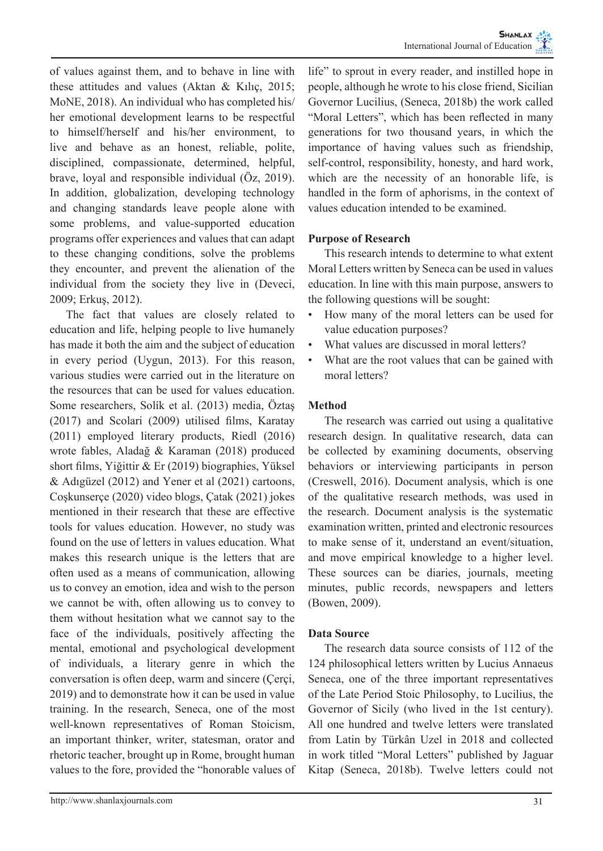of values against them, and to behave in line with these attitudes and values (Aktan & Kılıç, 2015; MoNE, 2018). An individual who has completed his/ her emotional development learns to be respectful to himself/herself and his/her environment, to live and behave as an honest, reliable, polite, disciplined, compassionate, determined, helpful, brave, loyal and responsible individual (Öz, 2019). In addition, globalization, developing technology and changing standards leave people alone with some problems, and value-supported education programs offer experiences and values that can adapt to these changing conditions, solve the problems they encounter, and prevent the alienation of the individual from the society they live in (Deveci, 2009; Erkuş, 2012).

The fact that values are closely related to education and life, helping people to live humanely has made it both the aim and the subject of education in every period (Uygun, 2013). For this reason, various studies were carried out in the literature on the resources that can be used for values education. Some researchers, Solík et al. (2013) media, Öztaş (2017) and Scolari (2009) utilised films, Karatay (2011) employed literary products, Riedl (2016) wrote fables, Aladağ & Karaman (2018) produced short films, Yiğittir & Er (2019) biographies, Yüksel & Adıgüzel (2012) and Yener et al (2021) cartoons, Coşkunserçe (2020) video blogs, Çatak (2021) jokes mentioned in their research that these are effective tools for values education. However, no study was found on the use of letters in values education. What makes this research unique is the letters that are often used as a means of communication, allowing us to convey an emotion, idea and wish to the person we cannot be with, often allowing us to convey to them without hesitation what we cannot say to the face of the individuals, positively affecting the mental, emotional and psychological development of individuals, a literary genre in which the conversation is often deep, warm and sincere (Çerçi, 2019) and to demonstrate how it can be used in value training. In the research, Seneca, one of the most well-known representatives of Roman Stoicism, an important thinker, writer, statesman, orator and rhetoric teacher, brought up in Rome, brought human values to the fore, provided the "honorable values of life" to sprout in every reader, and instilled hope in people, although he wrote to his close friend, Sicilian Governor Lucilius, (Seneca, 2018b) the work called "Moral Letters", which has been reflected in many generations for two thousand years, in which the importance of having values such as friendship, self-control, responsibility, honesty, and hard work, which are the necessity of an honorable life, is handled in the form of aphorisms, in the context of values education intended to be examined.

## **Purpose of Research**

This research intends to determine to what extent Moral Letters written by Seneca can be used in values education. In line with this main purpose, answers to the following questions will be sought:

- How many of the moral letters can be used for value education purposes?
- What values are discussed in moral letters?
- What are the root values that can be gained with moral letters?

#### **Method**

The research was carried out using a qualitative research design. In qualitative research, data can be collected by examining documents, observing behaviors or interviewing participants in person (Creswell, 2016). Document analysis, which is one of the qualitative research methods, was used in the research. Document analysis is the systematic examination written, printed and electronic resources to make sense of it, understand an event/situation, and move empirical knowledge to a higher level. These sources can be diaries, journals, meeting minutes, public records, newspapers and letters (Bowen, 2009).

#### **Data Source**

The research data source consists of 112 of the 124 philosophical letters written by Lucius Annaeus Seneca, one of the three important representatives of the Late Period Stoic Philosophy, to Lucilius, the Governor of Sicily (who lived in the 1st century). All one hundred and twelve letters were translated from Latin by Türkân Uzel in 2018 and collected in work titled "Moral Letters" published by Jaguar Kitap (Seneca, 2018b). Twelve letters could not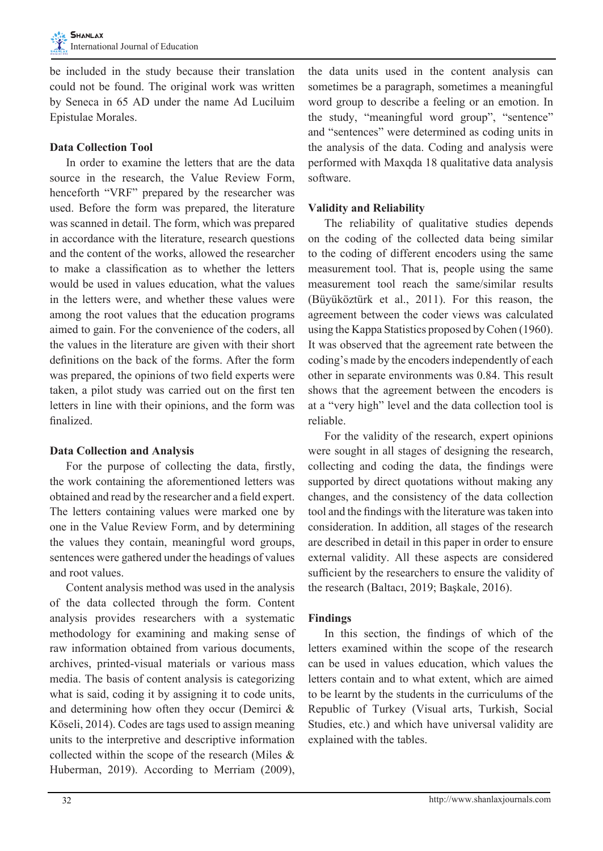be included in the study because their translation could not be found. The original work was written by Seneca in 65 AD under the name Ad Luciluim Epistulae Morales.

## **Data Collection Tool**

In order to examine the letters that are the data source in the research, the Value Review Form, henceforth "VRF" prepared by the researcher was used. Before the form was prepared, the literature was scanned in detail. The form, which was prepared in accordance with the literature, research questions and the content of the works, allowed the researcher to make a classification as to whether the letters would be used in values education, what the values in the letters were, and whether these values were among the root values that the education programs aimed to gain. For the convenience of the coders, all the values in the literature are given with their short definitions on the back of the forms. After the form was prepared, the opinions of two field experts were taken, a pilot study was carried out on the first ten letters in line with their opinions, and the form was finalized.

## **Data Collection and Analysis**

For the purpose of collecting the data, firstly, the work containing the aforementioned letters was obtained and read by the researcher and a field expert. The letters containing values were marked one by one in the Value Review Form, and by determining the values they contain, meaningful word groups, sentences were gathered under the headings of values and root values.

Content analysis method was used in the analysis of the data collected through the form. Content analysis provides researchers with a systematic methodology for examining and making sense of raw information obtained from various documents, archives, printed-visual materials or various mass media. The basis of content analysis is categorizing what is said, coding it by assigning it to code units, and determining how often they occur (Demirci & Köseli, 2014). Codes are tags used to assign meaning units to the interpretive and descriptive information collected within the scope of the research (Miles & Huberman, 2019). According to Merriam (2009),

the data units used in the content analysis can sometimes be a paragraph, sometimes a meaningful word group to describe a feeling or an emotion. In the study, "meaningful word group", "sentence" and "sentences" were determined as coding units in the analysis of the data. Coding and analysis were performed with Maxqda 18 qualitative data analysis software.

## **Validity and Reliability**

The reliability of qualitative studies depends on the coding of the collected data being similar to the coding of different encoders using the same measurement tool. That is, people using the same measurement tool reach the same/similar results (Büyüköztürk et al., 2011). For this reason, the agreement between the coder views was calculated using the Kappa Statistics proposed by Cohen (1960). It was observed that the agreement rate between the coding's made by the encoders independently of each other in separate environments was 0.84. This result shows that the agreement between the encoders is at a "very high" level and the data collection tool is reliable.

For the validity of the research, expert opinions were sought in all stages of designing the research, collecting and coding the data, the findings were supported by direct quotations without making any changes, and the consistency of the data collection tool and the findings with the literature was taken into consideration. In addition, all stages of the research are described in detail in this paper in order to ensure external validity. All these aspects are considered sufficient by the researchers to ensure the validity of the research (Baltacı, 2019; Başkale, 2016).

#### **Findings**

In this section, the findings of which of the letters examined within the scope of the research can be used in values education, which values the letters contain and to what extent, which are aimed to be learnt by the students in the curriculums of the Republic of Turkey (Visual arts, Turkish, Social Studies, etc.) and which have universal validity are explained with the tables.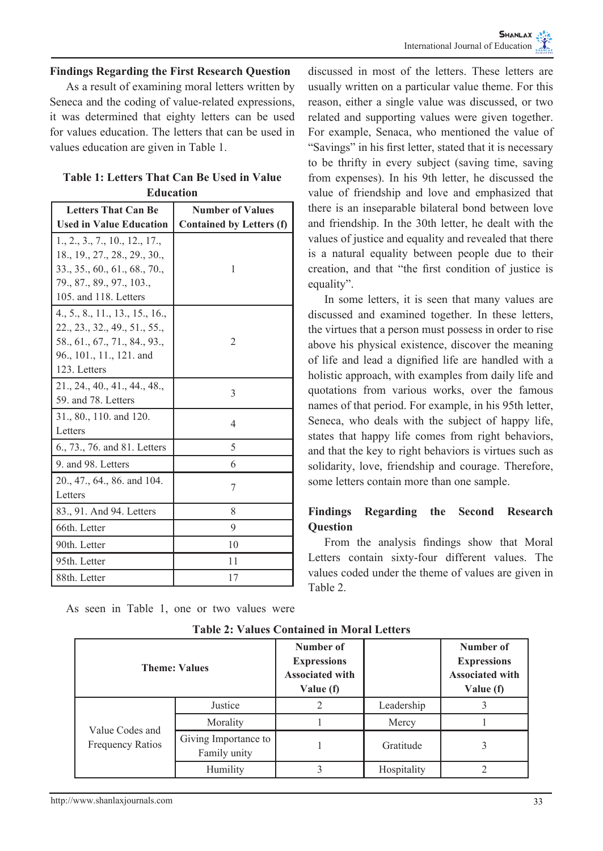#### **Findings Regarding the First Research Question**

As a result of examining moral letters written by Seneca and the coding of value-related expressions, it was determined that eighty letters can be used for values education. The letters that can be used in values education are given in Table 1.

| Table 1: Letters That Can Be Used in Value |                  |  |
|--------------------------------------------|------------------|--|
|                                            | <b>Education</b> |  |

| <b>Letters That Can Be</b>      | <b>Number of Values</b>         |  |  |
|---------------------------------|---------------------------------|--|--|
| <b>Used in Value Education</b>  | <b>Contained by Letters (f)</b> |  |  |
| 1., 2., 3., 7., 10., 12., 17.,  |                                 |  |  |
| 18., 19., 27., 28., 29., 30.,   |                                 |  |  |
| 333560616870                    | 1                               |  |  |
| 79., 87., 89., 97., 103.,       |                                 |  |  |
| 105. and 118. Letters           |                                 |  |  |
| 4., 5., 8., 11., 13., 15., 16., |                                 |  |  |
| 22, 23, 32, 49, 51, 55,         |                                 |  |  |
| 58., 61., 67., 71., 84., 93.,   | 2                               |  |  |
| 96., 101., 11., 121. and        |                                 |  |  |
| 123. Letters                    |                                 |  |  |
| 21, 24, 40, 41, 44, 48,         | 3                               |  |  |
| 59. and 78. Letters             |                                 |  |  |
| 31., 80., 110. and 120.         | 4                               |  |  |
| Letters                         |                                 |  |  |
| 6., 73., 76. and 81. Letters    | 5                               |  |  |
| 9. and 98. Letters              | 6                               |  |  |
| 20., 47., 64., 86. and 104.     |                                 |  |  |
| Letters                         | 7                               |  |  |
| 83., 91. And 94. Letters        | 8                               |  |  |
| 66th. Letter                    | 9                               |  |  |
| 90th. Letter                    | 10                              |  |  |
| 95th. Letter                    | 11                              |  |  |
| 88th. Letter                    | 17                              |  |  |

As seen in Table 1, one or two values were

| reason, either a single value was discussed, or two               |
|-------------------------------------------------------------------|
| related and supporting values were given together.                |
| For example, Senaca, who mentioned the value of                   |
| "Savings" in his first letter, stated that it is necessary        |
| to be thrifty in every subject (saving time, saving               |
| from expenses). In his 9th letter, he discussed the               |
| value of friendship and love and emphasized that                  |
| there is an inseparable bilateral bond between love               |
| and friendship. In the 30th letter, he dealt with the             |
| values of justice and equality and revealed that there            |
| is a natural equality between people due to their                 |
| creation, and that "the first condition of justice is             |
| equality".                                                        |
| The common fight and the two common after a common configuration. |

discussed in most of the letters. These letters are usually written on a particular value theme. For this

In some letters, it is seen that many values are discussed and examined together. In these letters, the virtues that a person must possess in order to rise above his physical existence, discover the meaning of life and lead a dignified life are handled with a holistic approach, with examples from daily life and quotations from various works, over the famous names of that period. For example, in his 95th letter, Seneca, who deals with the subject of happy life, states that happy life comes from right behaviors, and that the key to right behaviors is virtues such as solidarity, love, friendship and courage. Therefore, some letters contain more than one sample.

## **Findings Regarding the Second Research Question**

From the analysis findings show that Moral Letters contain sixty-four different values. The values coded under the theme of values are given in Table 2.

|                                            | <b>Theme: Values</b>                 | Number of<br><b>Expressions</b><br><b>Associated with</b><br>Value (f) |             | Number of<br><b>Expressions</b><br><b>Associated with</b><br>Value (f) |
|--------------------------------------------|--------------------------------------|------------------------------------------------------------------------|-------------|------------------------------------------------------------------------|
| Value Codes and<br><b>Frequency Ratios</b> | Justice                              |                                                                        | Leadership  |                                                                        |
|                                            | Morality                             |                                                                        | Mercy       |                                                                        |
|                                            | Giving Importance to<br>Family unity |                                                                        | Gratitude   |                                                                        |
|                                            | Humility                             |                                                                        | Hospitality |                                                                        |

**Table 2: Values Contained in Moral Letters**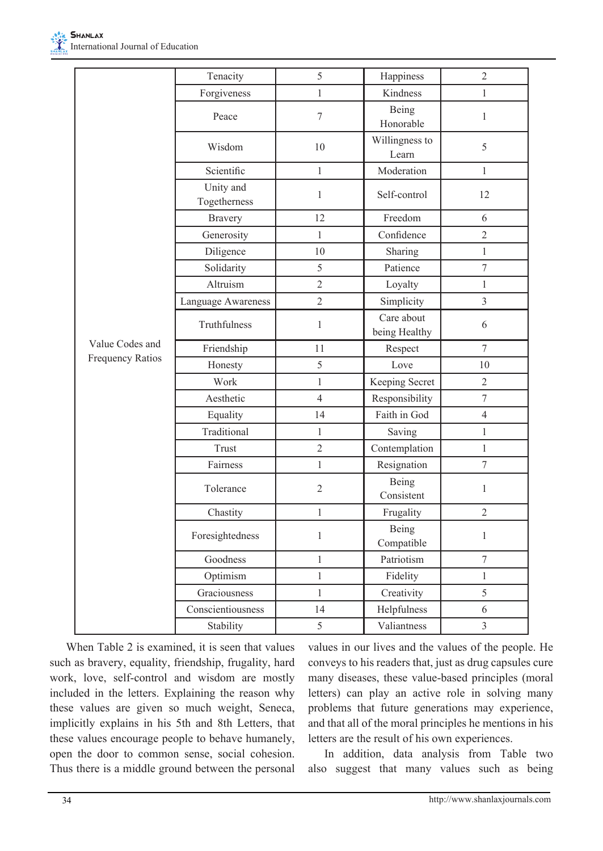

|                  | Tenacity                  | 5              | Happiness                   | $\overline{c}$          |
|------------------|---------------------------|----------------|-----------------------------|-------------------------|
|                  | Forgiveness               | $\mathbf{1}$   | Kindness                    | $\mathbf{1}$            |
|                  | Peace                     | 7              | Being<br>Honorable          | $\mathbf{1}$            |
|                  | Wisdom                    | 10             | Willingness to<br>Learn     | 5                       |
|                  | Scientific                | $\mathbf{1}$   | Moderation                  | $\mathbf{1}$            |
|                  | Unity and<br>Togetherness | $\mathbf{1}$   | Self-control                | 12                      |
|                  | <b>Bravery</b>            | 12             | Freedom                     | 6                       |
|                  | Generosity                | $\mathbf{1}$   | Confidence                  | $\overline{2}$          |
|                  | Diligence                 | 10             | Sharing                     | $\mathbf{1}$            |
|                  | Solidarity                | 5              | Patience                    | $\overline{7}$          |
|                  | Altruism                  | $\overline{2}$ | Loyalty                     | $\mathbf{1}$            |
|                  | Language Awareness        | $\overline{c}$ | Simplicity                  | $\overline{\mathbf{3}}$ |
|                  | Truthfulness              | $\mathbf{1}$   | Care about<br>being Healthy | 6                       |
| Value Codes and  | Friendship                | 11             | Respect                     | $\tau$                  |
| Frequency Ratios | Honesty                   | 5              | Love                        | 10                      |
|                  | Work                      | $\mathbf{1}$   | Keeping Secret              | $\overline{2}$          |
|                  | Aesthetic                 | $\overline{4}$ | Responsibility              | $\overline{7}$          |
|                  | Equality                  | 14             | Faith in God                | $\overline{4}$          |
|                  | Traditional               | $\mathbf{1}$   | Saving                      | $\,1$                   |
|                  | Trust                     | $\overline{2}$ | Contemplation               | $\mathbf{1}$            |
|                  | Fairness                  | $\mathbf{1}$   | Resignation                 | $\overline{7}$          |
|                  | Tolerance                 | $\overline{2}$ | Being<br>Consistent         | $\mathbf{1}$            |
|                  | Chastity                  | $\mathbf{1}$   | Frugality                   | $\overline{2}$          |
|                  | Foresightedness           | $\,1$          | Being<br>Compatible         | $\,1$                   |
|                  | Goodness                  | $\mathbf{1}$   | Patriotism                  | $\boldsymbol{7}$        |
|                  | Optimism                  | $\mathbf{1}$   | Fidelity                    | $\mathbf{1}$            |
|                  | Graciousness              | $\mathbf{1}$   | Creativity                  | 5                       |
|                  | Conscientiousness         | 14             | Helpfulness                 | 6                       |
|                  | Stability                 | 5              | Valiantness                 | $\overline{3}$          |

When Table 2 is examined, it is seen that values such as bravery, equality, friendship, frugality, hard work, love, self-control and wisdom are mostly included in the letters. Explaining the reason why these values are given so much weight, Seneca, implicitly explains in his 5th and 8th Letters, that these values encourage people to behave humanely, open the door to common sense, social cohesion. Thus there is a middle ground between the personal values in our lives and the values of the people. He conveys to his readers that, just as drug capsules cure many diseases, these value-based principles (moral letters) can play an active role in solving many problems that future generations may experience, and that all of the moral principles he mentions in his letters are the result of his own experiences.

In addition, data analysis from Table two also suggest that many values such as being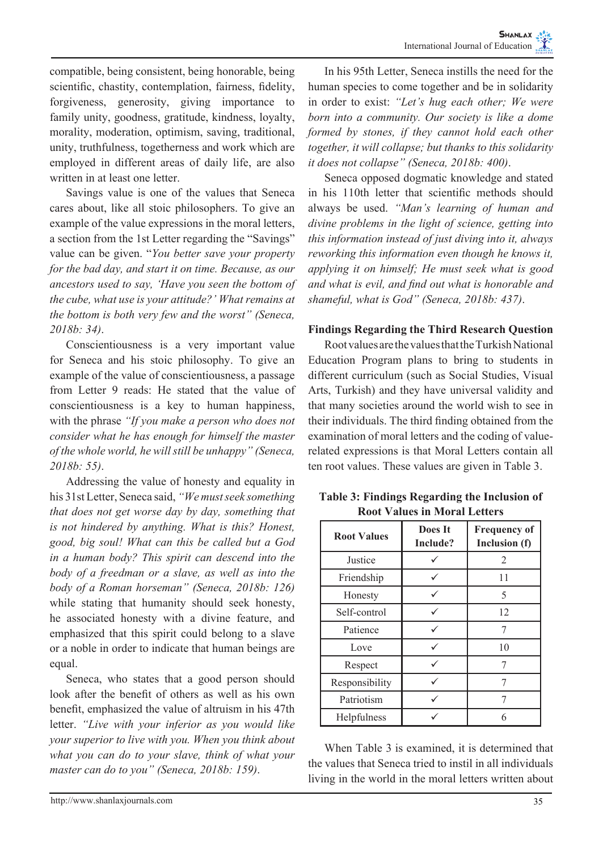compatible, being consistent, being honorable, being scientific, chastity, contemplation, fairness, fidelity, forgiveness, generosity, giving importance to family unity, goodness, gratitude, kindness, loyalty, morality, moderation, optimism, saving, traditional, unity, truthfulness, togetherness and work which are employed in different areas of daily life, are also written in at least one letter.

Savings value is one of the values that Seneca cares about, like all stoic philosophers. To give an example of the value expressions in the moral letters, a section from the 1st Letter regarding the "Savings" value can be given. "*You better save your property for the bad day, and start it on time. Because, as our ancestors used to say, 'Have you seen the bottom of the cube, what use is your attitude?' What remains at the bottom is both very few and the worst" (Seneca, 2018b: 34)*.

Conscientiousness is a very important value for Seneca and his stoic philosophy. To give an example of the value of conscientiousness, a passage from Letter 9 reads: He stated that the value of conscientiousness is a key to human happiness, with the phrase *"If you make a person who does not consider what he has enough for himself the master of the whole world, he will still be unhappy" (Seneca, 2018b: 55)*.

Addressing the value of honesty and equality in his 31st Letter, Seneca said, *"We must seek something that does not get worse day by day, something that is not hindered by anything. What is this? Honest, good, big soul! What can this be called but a God in a human body? This spirit can descend into the body of a freedman or a slave, as well as into the body of a Roman horseman" (Seneca, 2018b: 126)*  while stating that humanity should seek honesty, he associated honesty with a divine feature, and emphasized that this spirit could belong to a slave or a noble in order to indicate that human beings are equal.

Seneca, who states that a good person should look after the benefit of others as well as his own benefit, emphasized the value of altruism in his 47th letter. *"Live with your inferior as you would like your superior to live with you. When you think about what you can do to your slave, think of what your master can do to you" (Seneca, 2018b: 159)*.

In his 95th Letter, Seneca instills the need for the human species to come together and be in solidarity in order to exist: *"Let's hug each other; We were born into a community. Our society is like a dome formed by stones, if they cannot hold each other together, it will collapse; but thanks to this solidarity it does not collapse" (Seneca, 2018b: 400)*.

Seneca opposed dogmatic knowledge and stated in his 110th letter that scientific methods should always be used. *"Man's learning of human and divine problems in the light of science, getting into this information instead of just diving into it, always reworking this information even though he knows it, applying it on himself; He must seek what is good and what is evil, and find out what is honorable and shameful, what is God" (Seneca, 2018b: 437)*.

## **Findings Regarding the Third Research Question**

Root values are the values that the Turkish National Education Program plans to bring to students in different curriculum (such as Social Studies, Visual Arts, Turkish) and they have universal validity and that many societies around the world wish to see in their individuals. The third finding obtained from the examination of moral letters and the coding of valuerelated expressions is that Moral Letters contain all ten root values. These values are given in Table 3.

**Table 3: Findings Regarding the Inclusion of Root Values in Moral Letters**

| <b>Root Values</b> | Does It<br>Include? | <b>Frequency of</b><br>Inclusion (f) |
|--------------------|---------------------|--------------------------------------|
| Justice            |                     | 2                                    |
| Friendship         |                     | 11                                   |
| Honesty            |                     | 5                                    |
| Self-control       |                     | 12                                   |
| Patience           |                     |                                      |
| Love               |                     | 10                                   |
| Respect            |                     |                                      |
| Responsibility     |                     |                                      |
| Patriotism         |                     |                                      |
| <b>Helpfulness</b> |                     |                                      |

When Table 3 is examined, it is determined that the values that Seneca tried to instil in all individuals living in the world in the moral letters written about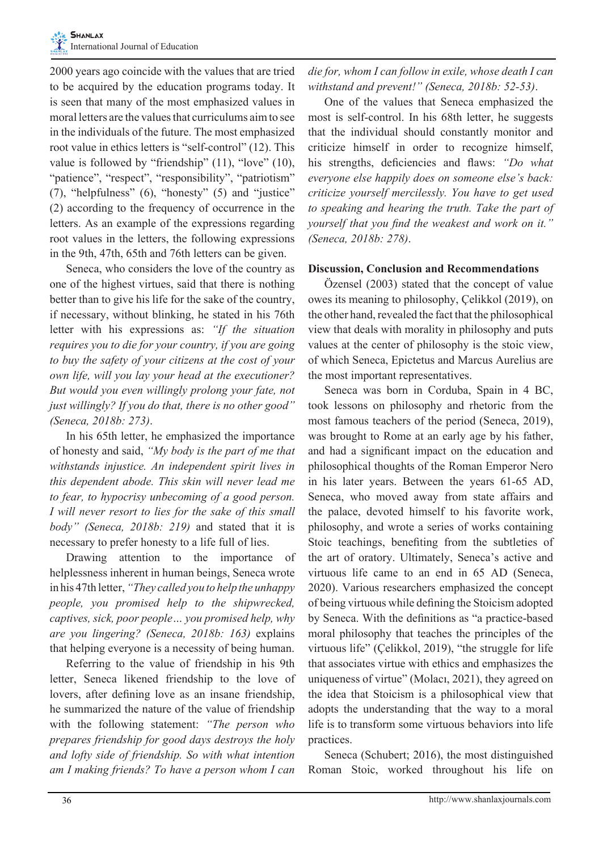2000 years ago coincide with the values that are tried to be acquired by the education programs today. It is seen that many of the most emphasized values in moral letters are the values that curriculums aim to see in the individuals of the future. The most emphasized root value in ethics letters is "self-control" (12). This value is followed by "friendship" (11), "love" (10), "patience", "respect", "responsibility", "patriotism" (7), "helpfulness" (6), "honesty" (5) and "justice" (2) according to the frequency of occurrence in the letters. As an example of the expressions regarding root values in the letters, the following expressions in the 9th, 47th, 65th and 76th letters can be given.

Seneca, who considers the love of the country as one of the highest virtues, said that there is nothing better than to give his life for the sake of the country, if necessary, without blinking, he stated in his 76th letter with his expressions as: *"If the situation requires you to die for your country, if you are going to buy the safety of your citizens at the cost of your own life, will you lay your head at the executioner? But would you even willingly prolong your fate, not just willingly? If you do that, there is no other good" (Seneca, 2018b: 273)*.

In his 65th letter, he emphasized the importance of honesty and said, *"My body is the part of me that withstands injustice. An independent spirit lives in this dependent abode. This skin will never lead me to fear, to hypocrisy unbecoming of a good person. I will never resort to lies for the sake of this small body" (Seneca, 2018b: 219)* and stated that it is necessary to prefer honesty to a life full of lies.

Drawing attention to the importance of helplessness inherent in human beings, Seneca wrote in his 47th letter, *"They called you to help the unhappy people, you promised help to the shipwrecked, captives, sick, poor people… you promised help, why are you lingering? (Seneca, 2018b: 163)* explains that helping everyone is a necessity of being human.

Referring to the value of friendship in his 9th letter, Seneca likened friendship to the love of lovers, after defining love as an insane friendship, he summarized the nature of the value of friendship with the following statement: *"The person who prepares friendship for good days destroys the holy and lofty side of friendship. So with what intention am I making friends? To have a person whom I can* 

*die for, whom I can follow in exile, whose death I can withstand and prevent!" (Seneca, 2018b: 52-53)*.

One of the values that Seneca emphasized the most is self-control. In his 68th letter, he suggests that the individual should constantly monitor and criticize himself in order to recognize himself, his strengths, deficiencies and flaws: *"Do what everyone else happily does on someone else's back: criticize yourself mercilessly. You have to get used to speaking and hearing the truth. Take the part of yourself that you find the weakest and work on it." (Seneca, 2018b: 278)*.

## **Discussion, Conclusion and Recommendations**

Özensel (2003) stated that the concept of value owes its meaning to philosophy, Çelikkol (2019), on the other hand, revealed the fact that the philosophical view that deals with morality in philosophy and puts values at the center of philosophy is the stoic view, of which Seneca, Epictetus and Marcus Aurelius are the most important representatives.

Seneca was born in Corduba, Spain in 4 BC, took lessons on philosophy and rhetoric from the most famous teachers of the period (Seneca, 2019), was brought to Rome at an early age by his father, and had a significant impact on the education and philosophical thoughts of the Roman Emperor Nero in his later years. Between the years 61-65 AD, Seneca, who moved away from state affairs and the palace, devoted himself to his favorite work, philosophy, and wrote a series of works containing Stoic teachings, benefiting from the subtleties of the art of oratory. Ultimately, Seneca's active and virtuous life came to an end in 65 AD (Seneca, 2020). Various researchers emphasized the concept of being virtuous while defining the Stoicism adopted by Seneca. With the definitions as "a practice-based moral philosophy that teaches the principles of the virtuous life" (Çelikkol, 2019), "the struggle for life that associates virtue with ethics and emphasizes the uniqueness of virtue" (Molacı, 2021), they agreed on the idea that Stoicism is a philosophical view that adopts the understanding that the way to a moral life is to transform some virtuous behaviors into life practices.

Seneca (Schubert; 2016), the most distinguished Roman Stoic, worked throughout his life on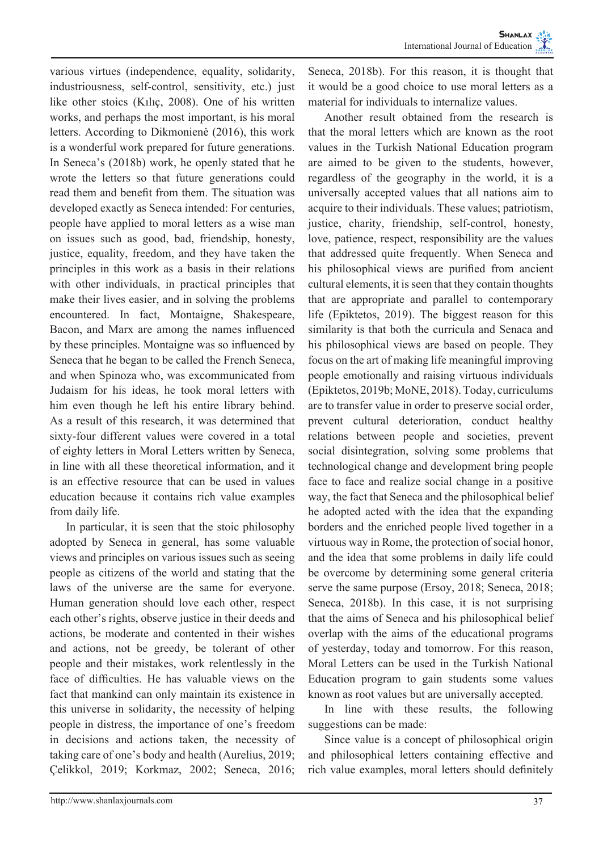various virtues (independence, equality, solidarity, industriousness, self-control, sensitivity, etc.) just like other stoics (Kılıç, 2008). One of his written works, and perhaps the most important, is his moral letters. According to Dikmonienė (2016), this work is a wonderful work prepared for future generations. In Seneca's (2018b) work, he openly stated that he wrote the letters so that future generations could read them and benefit from them. The situation was developed exactly as Seneca intended: For centuries, people have applied to moral letters as a wise man on issues such as good, bad, friendship, honesty, justice, equality, freedom, and they have taken the principles in this work as a basis in their relations with other individuals, in practical principles that make their lives easier, and in solving the problems encountered. In fact, Montaigne, Shakespeare, Bacon, and Marx are among the names influenced by these principles. Montaigne was so influenced by Seneca that he began to be called the French Seneca, and when Spinoza who, was excommunicated from Judaism for his ideas, he took moral letters with him even though he left his entire library behind. As a result of this research, it was determined that sixty-four different values were covered in a total of eighty letters in Moral Letters written by Seneca, in line with all these theoretical information, and it is an effective resource that can be used in values education because it contains rich value examples from daily life.

In particular, it is seen that the stoic philosophy adopted by Seneca in general, has some valuable views and principles on various issues such as seeing people as citizens of the world and stating that the laws of the universe are the same for everyone. Human generation should love each other, respect each other's rights, observe justice in their deeds and actions, be moderate and contented in their wishes and actions, not be greedy, be tolerant of other people and their mistakes, work relentlessly in the face of difficulties. He has valuable views on the fact that mankind can only maintain its existence in this universe in solidarity, the necessity of helping people in distress, the importance of one's freedom in decisions and actions taken, the necessity of taking care of one's body and health (Aurelius, 2019; Çelikkol, 2019; Korkmaz, 2002; Seneca, 2016;

Seneca, 2018b). For this reason, it is thought that it would be a good choice to use moral letters as a material for individuals to internalize values.

Another result obtained from the research is that the moral letters which are known as the root values in the Turkish National Education program are aimed to be given to the students, however, regardless of the geography in the world, it is a universally accepted values that all nations aim to acquire to their individuals. These values; patriotism, justice, charity, friendship, self-control, honesty, love, patience, respect, responsibility are the values that addressed quite frequently. When Seneca and his philosophical views are purified from ancient cultural elements, it is seen that they contain thoughts that are appropriate and parallel to contemporary life (Epiktetos, 2019). The biggest reason for this similarity is that both the curricula and Senaca and his philosophical views are based on people. They focus on the art of making life meaningful improving people emotionally and raising virtuous individuals (Epiktetos, 2019b; MoNE, 2018). Today, curriculums are to transfer value in order to preserve social order, prevent cultural deterioration, conduct healthy relations between people and societies, prevent social disintegration, solving some problems that technological change and development bring people face to face and realize social change in a positive way, the fact that Seneca and the philosophical belief he adopted acted with the idea that the expanding borders and the enriched people lived together in a virtuous way in Rome, the protection of social honor, and the idea that some problems in daily life could be overcome by determining some general criteria serve the same purpose (Ersoy, 2018; Seneca, 2018; Seneca, 2018b). In this case, it is not surprising that the aims of Seneca and his philosophical belief overlap with the aims of the educational programs of yesterday, today and tomorrow. For this reason, Moral Letters can be used in the Turkish National Education program to gain students some values known as root values but are universally accepted.

In line with these results, the following suggestions can be made:

Since value is a concept of philosophical origin and philosophical letters containing effective and rich value examples, moral letters should definitely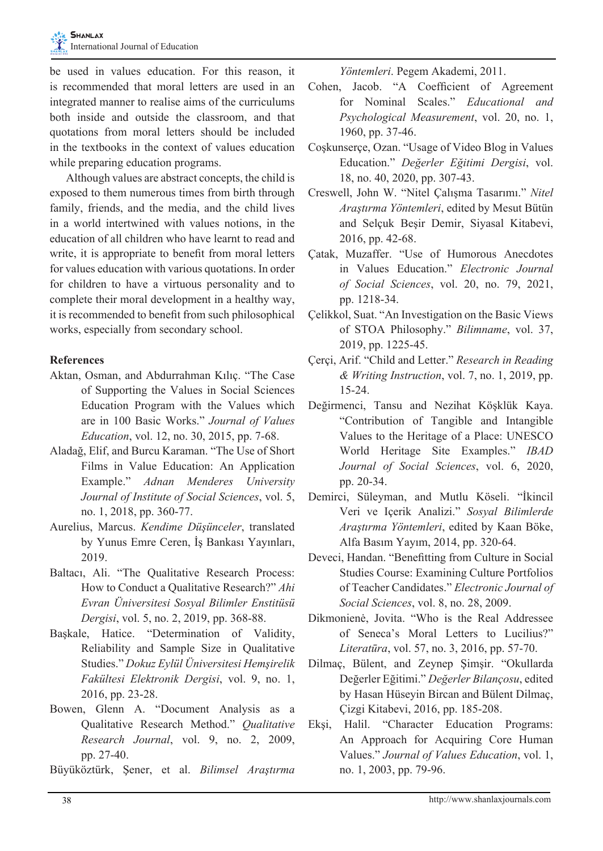be used in values education. For this reason, it is recommended that moral letters are used in an integrated manner to realise aims of the curriculums both inside and outside the classroom, and that quotations from moral letters should be included in the textbooks in the context of values education while preparing education programs.

Although values are abstract concepts, the child is exposed to them numerous times from birth through family, friends, and the media, and the child lives in a world intertwined with values notions, in the education of all children who have learnt to read and write, it is appropriate to benefit from moral letters for values education with various quotations. In order for children to have a virtuous personality and to complete their moral development in a healthy way, it is recommended to benefit from such philosophical works, especially from secondary school.

## **References**

- Aktan, Osman, and Abdurrahman Kılıç. "The Case of Supporting the Values in Social Sciences Education Program with the Values which are in 100 Basic Works." *Journal of Values Education*, vol. 12, no. 30, 2015, pp. 7-68.
- Aladağ, Elif, and Burcu Karaman. "The Use of Short Films in Value Education: An Application Example." *Adnan Menderes University Journal of Institute of Social Sciences*, vol. 5, no. 1, 2018, pp. 360-77.
- Aurelius, Marcus. *Kendime Düşünceler*, translated by Yunus Emre Ceren, İş Bankası Yayınları, 2019.
- Baltacı, Ali. "The Qualitative Research Process: How to Conduct a Qualitative Research?" *Ahi Evran Üniversitesi Sosyal Bilimler Enstitüsü Dergisi*, vol. 5, no. 2, 2019, pp. 368-88.
- Başkale, Hatice. "Determination of Validity, Reliability and Sample Size in Qualitative Studies." *Dokuz Eylül Üniversitesi Hemşirelik Fakültesi Elektronik Dergisi*, vol. 9, no. 1, 2016, pp. 23-28.
- Bowen, Glenn A. "Document Analysis as a Qualitative Research Method." *Qualitative Research Journal*, vol. 9, no. 2, 2009, pp. 27-40.
- Büyüköztürk, Şener, et al. *Bilimsel Araştırma*

*Yöntemleri*. Pegem Akademi, 2011.

- Cohen, Jacob. "A Coefficient of Agreement for Nominal Scales." *Educational and Psychological Measurement*, vol. 20, no. 1, 1960, pp. 37-46.
- Coşkunserçe, Ozan. "Usage of Video Blog in Values Education." *Değerler Eğitimi Dergisi*, vol. 18, no. 40, 2020, pp. 307-43.
- Creswell, John W. "Nitel Çalışma Tasarımı." *Nitel Araştırma Yöntemleri*, edited by Mesut Bütün and Selçuk Beşir Demir, Siyasal Kitabevi, 2016, pp. 42-68.
- Çatak, Muzaffer. "Use of Humorous Anecdotes in Values Education." *Electronic Journal of Social Sciences*, vol. 20, no. 79, 2021, pp. 1218-34.
- Çelikkol, Suat. "An Investigation on the Basic Views of STOA Philosophy." *Bilimname*, vol. 37, 2019, pp. 1225-45.
- Çerçi, Arif. "Child and Letter." *Research in Reading & Writing Instruction*, vol. 7, no. 1, 2019, pp. 15-24.
- Değirmenci, Tansu and Nezihat Köşklük Kaya. "Contribution of Tangible and Intangible Values to the Heritage of a Place: UNESCO World Heritage Site Examples." *IBAD Journal of Social Sciences*, vol. 6, 2020, pp. 20-34.
- Demirci, Süleyman, and Mutlu Köseli. "İkincil Veri ve Içerik Analizi." *Sosyal Bilimlerde Araştırma Yöntemleri*, edited by Kaan Böke, Alfa Basım Yayım, 2014, pp. 320-64.
- Deveci, Handan. "Benefitting from Culture in Social Studies Course: Examining Culture Portfolios of Teacher Candidates." *Electronic Journal of Social Sciences*, vol. 8, no. 28, 2009.
- Dikmonienė, Jovita. "Who is the Real Addressee of Seneca's Moral Letters to Lucilius?" *Literatūra*, vol. 57, no. 3, 2016, pp. 57-70.
- Dilmaç, Bülent, and Zeynep Şimşir. "Okullarda Değerler Eğitimi." *Değerler Bilançosu*, edited by Hasan Hüseyin Bircan and Bülent Dilmaç, Çizgi Kitabevi, 2016, pp. 185-208.
- Ekşi, Halil. "Character Education Programs: An Approach for Acquiring Core Human Values." *Journal of Values Education*, vol. 1, no. 1, 2003, pp. 79-96.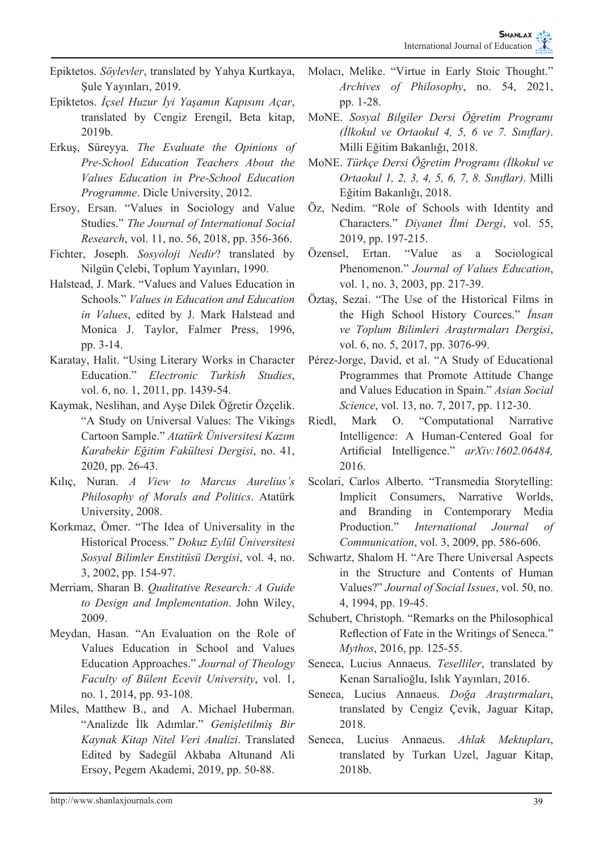- Epiktetos. *Söylevler*, translated by Yahya Kurtkaya, Sule Yayınları, 2019.
- Epiktetos. *İçsel Huzur İyi Yaşamın Kapısını Açar*, translated by Cengiz Erengil, Beta kitap, 2019b.
- Erkuş, Süreyya. *The Evaluate the Opinions of Pre-School Education Teachers About the Values Education in Pre-School Education Programme*. Dicle University, 2012.
- Ersoy, Ersan. "Values in Sociology and Value Studies." *The Journal of International Social Research*, vol. 11, no. 56, 2018, pp. 356-366.
- Fichter, Joseph. *Sosyoloji Nedir*? translated by Nilgün Çelebi, Toplum Yayınları, 1990.
- Halstead, J. Mark. "Values and Values Education in Schools." *Values in Education and Education in Values*, edited by J. Mark Halstead and Monica J. Taylor, Falmer Press, 1996, pp. 3-14.
- Karatay, Halit. "Using Literary Works in Character Education." *Electronic Turkish Studies*, vol. 6, no. 1, 2011, pp. 1439-54.
- Kaymak, Neslihan, and Ayşe Dilek Öğretir Özçelik. "A Study on Universal Values: The Vikings Cartoon Sample." *Atatürk Üniversitesi Kazım Karabekir Eğitim Fakültesi Dergisi*, no. 41, 2020, pp. 26-43.
- Kılıç, Nuran. *A View to Marcus Aurelius's Philosophy of Morals and Politics*. Atatürk University, 2008.
- Korkmaz, Ömer. "The Idea of Universality in the Historical Process." *Dokuz Eylül Üniversitesi Sosyal Bilimler Enstitüsü Dergisi*, vol. 4, no. 3, 2002, pp. 154-97.
- Merriam, Sharan B. *Qualitative Research: A Guide to Design and Implementation*. John Wiley, 2009.
- Meydan, Hasan. "An Evaluation on the Role of Values Education in School and Values Education Approaches." *Journal of Theology Faculty of Bülent Ecevit University*, vol. 1, no. 1, 2014, pp. 93-108.
- Miles, Matthew B., and A. Michael Huberman. "Analizde İlk Adımlar." *Genişletilmiş Bir Kaynak Kitap Nitel Veri Analizi*. Translated Edited by Sadegül Akbaba Altunand Ali Ersoy, Pegem Akademi, 2019, pp. 50-88.
- Molacı, Melike. "Virtue in Early Stoic Thought." *Archives of Philosophy*, no. 54, 2021, pp. 1-28.
- MoNE. *Sosyal Bilgiler Dersi Öğretim Programı (İlkokul ve Ortaokul 4, 5, 6 ve 7. Sınıflar)*. Milli Eğitim Bakanlığı, 2018.
- MoNE. *Türkçe Dersi Öğretim Programı (İlkokul ve Ortaokul 1, 2, 3, 4, 5, 6, 7, 8. Sınıflar)*. Milli Eğitim Bakanlığı, 2018.
- Öz, Nedim. "Role of Schools with Identity and Characters." *Diyanet İlmi Dergi*, vol. 55, 2019, pp. 197-215.
- Özensel, Ertan. "Value as a Sociological Phenomenon." *Journal of Values Education*, vol. 1, no. 3, 2003, pp. 217-39.
- Öztaş, Sezai. "The Use of the Historical Films in the High School History Cources." *İnsan ve Toplum Bilimleri Araştırmaları Dergisi*, vol. 6, no. 5, 2017, pp. 3076-99.
- Pérez-Jorge, David, et al. "A Study of Educational Programmes that Promote Attitude Change and Values Education in Spain." *Asian Social Science*, vol. 13, no. 7, 2017, pp. 112-30.
- Riedl, Mark O. "Computational Narrative Intelligence: A Human-Centered Goal for Artificial Intelligence." *arXiv:1602.06484,* 2016.
- Scolari, Carlos Alberto. "Transmedia Storytelling: Implicit Consumers, Narrative Worlds, and Branding in Contemporary Media Production." *International Journal of Communication*, vol. 3, 2009, pp. 586-606.
- Schwartz, Shalom H. "Are There Universal Aspects in the Structure and Contents of Human Values?" *Journal of Social Issues*, vol. 50, no. 4, 1994, pp. 19-45.
- Schubert, Christoph. "Remarks on the Philosophical Reflection of Fate in the Writings of Seneca." *Mythos*, 2016, pp. 125-55.
- Seneca, Lucius Annaeus. *Teselliler*, translated by Kenan Sarıalioğlu, Islık Yayınları, 2016.
- Seneca, Lucius Annaeus. *Doğa Araştırmaları*, translated by Cengiz Çevik, Jaguar Kitap, 2018.
- Seneca, Lucius Annaeus. *Ahlak Mektupları*, translated by Turkan Uzel, Jaguar Kitap, 2018b.